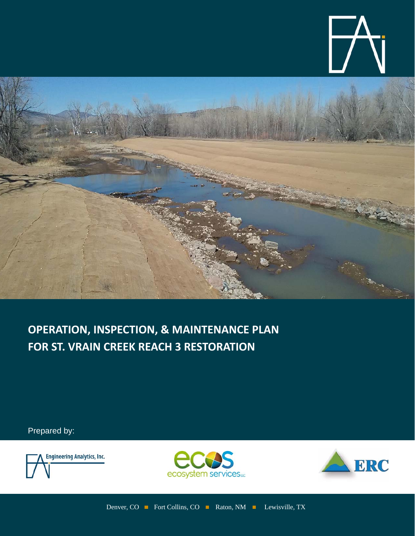



**OPERATION, INSPECTION, & MAINTENANCE PLAN FOR ST. VRAIN CREEK REACH 3 RESTORATION**

Prepared by:





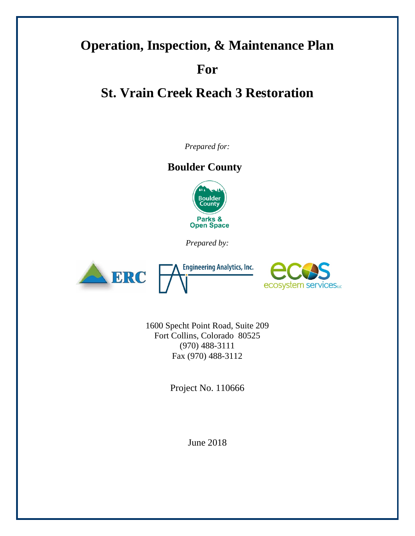# **Operation, Inspection, & Maintenance Plan For St. Vrain Creek Reach 3 Restoration**

*Prepared for:*

## **Boulder County**



*Prepared by:*



**Engineering Analytics, Inc.** 



1600 Specht Point Road, Suite 209 Fort Collins, Colorado 80525 (970) 488-3111 Fax (970) 488-3112

Project No. 110666

June 2018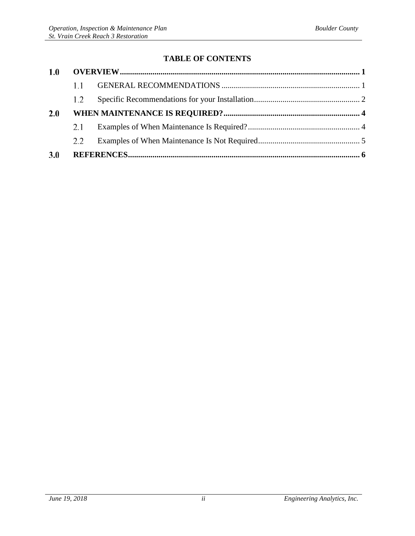### **TABLE OF CONTENTS**

| 1.0        |               |  |  |
|------------|---------------|--|--|
|            | 1.1           |  |  |
|            | $1.2^{\circ}$ |  |  |
| 2.0        |               |  |  |
|            | 2.1           |  |  |
|            | 2.2           |  |  |
| <b>3.0</b> |               |  |  |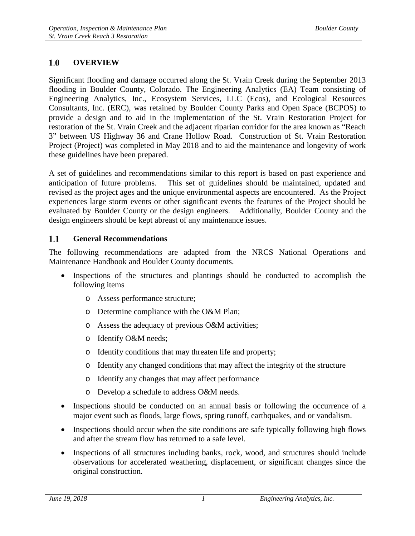#### <span id="page-3-0"></span> $1.0$ **OVERVIEW**

Significant flooding and damage occurred along the St. Vrain Creek during the September 2013 flooding in Boulder County, Colorado. The Engineering Analytics (EA) Team consisting of Engineering Analytics, Inc., Ecosystem Services, LLC (Ecos), and Ecological Resources Consultants, Inc. (ERC), was retained by Boulder County Parks and Open Space (BCPOS) to provide a design and to aid in the implementation of the St. Vrain Restoration Project for restoration of the St. Vrain Creek and the adjacent riparian corridor for the area known as "Reach 3" between US Highway 36 and Crane Hollow Road. Construction of St. Vrain Restoration Project (Project) was completed in May 2018 and to aid the maintenance and longevity of work these guidelines have been prepared.

A set of guidelines and recommendations similar to this report is based on past experience and anticipation of future problems. This set of guidelines should be maintained, updated and revised as the project ages and the unique environmental aspects are encountered. As the Project experiences large storm events or other significant events the features of the Project should be evaluated by Boulder County or the design engineers. Additionally, Boulder County and the design engineers should be kept abreast of any maintenance issues.

#### <span id="page-3-1"></span> $1.1$ **General Recommendations**

The following recommendations are adapted from the NRCS National Operations and Maintenance Handbook and Boulder County documents.

- Inspections of the structures and plantings should be conducted to accomplish the following items
	- o Assess performance structure;
	- o Determine compliance with the O&M Plan;
	- o Assess the adequacy of previous O&M activities;
	- o Identify O&M needs;
	- o Identify conditions that may threaten life and property;
	- o Identify any changed conditions that may affect the integrity of the structure
	- o Identify any changes that may affect performance
	- o Develop a schedule to address O&M needs.
- Inspections should be conducted on an annual basis or following the occurrence of a major event such as floods, large flows, spring runoff, earthquakes, and or vandalism.
- Inspections should occur when the site conditions are safe typically following high flows and after the stream flow has returned to a safe level.
- Inspections of all structures including banks, rock, wood, and structures should include observations for accelerated weathering, displacement, or significant changes since the original construction.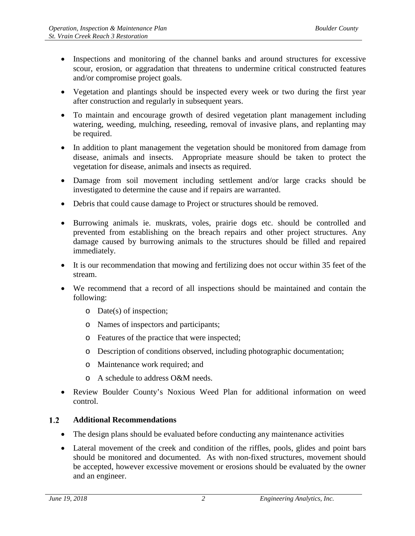- Inspections and monitoring of the channel banks and around structures for excessive scour, erosion, or aggradation that threatens to undermine critical constructed features and/or compromise project goals.
- Vegetation and plantings should be inspected every week or two during the first year after construction and regularly in subsequent years.
- To maintain and encourage growth of desired vegetation plant management including watering, weeding, mulching, reseeding, removal of invasive plans, and replanting may be required.
- In addition to plant management the vegetation should be monitored from damage from disease, animals and insects. Appropriate measure should be taken to protect the vegetation for disease, animals and insects as required.
- Damage from soil movement including settlement and/or large cracks should be investigated to determine the cause and if repairs are warranted.
- Debris that could cause damage to Project or structures should be removed.
- Burrowing animals ie. muskrats, voles, prairie dogs etc. should be controlled and prevented from establishing on the breach repairs and other project structures. Any damage caused by burrowing animals to the structures should be filled and repaired immediately.
- It is our recommendation that mowing and fertilizing does not occur within 35 feet of the stream.
- We recommend that a record of all inspections should be maintained and contain the following:
	- o Date(s) of inspection;
	- o Names of inspectors and participants;
	- o Features of the practice that were inspected;
	- o Description of conditions observed, including photographic documentation;
	- o Maintenance work required; and
	- o A schedule to address O&M needs.
- Review Boulder County's Noxious Weed Plan for additional information on weed control.

#### <span id="page-4-0"></span> $1.2$ **Additional Recommendations**

- The design plans should be evaluated before conducting any maintenance activities
- Lateral movement of the creek and condition of the riffles, pools, glides and point bars should be monitored and documented. As with non-fixed structures, movement should be accepted, however excessive movement or erosions should be evaluated by the owner and an engineer.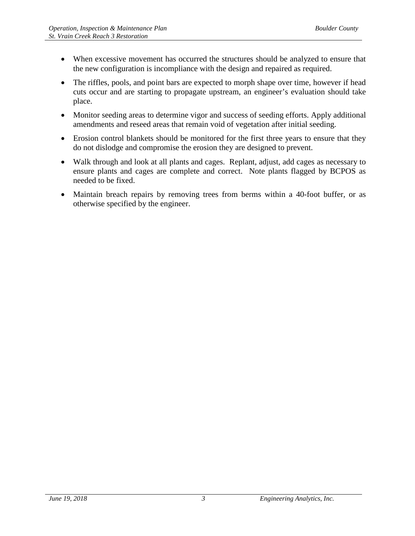- When excessive movement has occurred the structures should be analyzed to ensure that the new configuration is incompliance with the design and repaired as required.
- The riffles, pools, and point bars are expected to morph shape over time, however if head cuts occur and are starting to propagate upstream, an engineer's evaluation should take place.
- Monitor seeding areas to determine vigor and success of seeding efforts. Apply additional amendments and reseed areas that remain void of vegetation after initial seeding.
- Erosion control blankets should be monitored for the first three years to ensure that they do not dislodge and compromise the erosion they are designed to prevent.
- Walk through and look at all plants and cages. Replant, adjust, add cages as necessary to ensure plants and cages are complete and correct. Note plants flagged by BCPOS as needed to be fixed.
- Maintain breach repairs by removing trees from berms within a 40-foot buffer, or as otherwise specified by the engineer.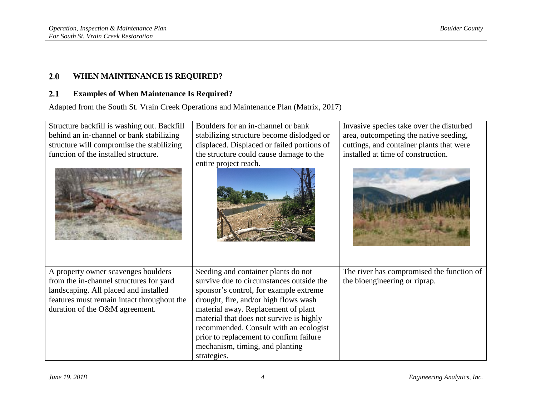#### $2.0$ **WHEN MAINTENANCE IS REQUIRED?**

#### **Examples of When Maintenance Is Required?**  $2.1$

Adapted from the South St. Vrain Creek Operations and Maintenance Plan (Matrix, 2017)

<span id="page-6-1"></span><span id="page-6-0"></span>

| Structure backfill is washing out. Backfill<br>behind an in-channel or bank stabilizing<br>structure will compromise the stabilizing<br>function of the installed structure.                            | Boulders for an in-channel or bank<br>stabilizing structure become dislodged or<br>displaced. Displaced or failed portions of<br>the structure could cause damage to the<br>entire project reach.                                                                                                                                                                                            | Invasive species take over the disturbed<br>area, outcompeting the native seeding,<br>cuttings, and container plants that were<br>installed at time of construction. |
|---------------------------------------------------------------------------------------------------------------------------------------------------------------------------------------------------------|----------------------------------------------------------------------------------------------------------------------------------------------------------------------------------------------------------------------------------------------------------------------------------------------------------------------------------------------------------------------------------------------|----------------------------------------------------------------------------------------------------------------------------------------------------------------------|
|                                                                                                                                                                                                         |                                                                                                                                                                                                                                                                                                                                                                                              |                                                                                                                                                                      |
| A property owner scavenges boulders<br>from the in-channel structures for yard<br>landscaping. All placed and installed<br>features must remain intact throughout the<br>duration of the O&M agreement. | Seeding and container plants do not<br>survive due to circumstances outside the<br>sponsor's control, for example extreme<br>drought, fire, and/or high flows wash<br>material away. Replacement of plant<br>material that does not survive is highly<br>recommended. Consult with an ecologist<br>prior to replacement to confirm failure<br>mechanism, timing, and planting<br>strategies. | The river has compromised the function of<br>the bioengineering or riprap.                                                                                           |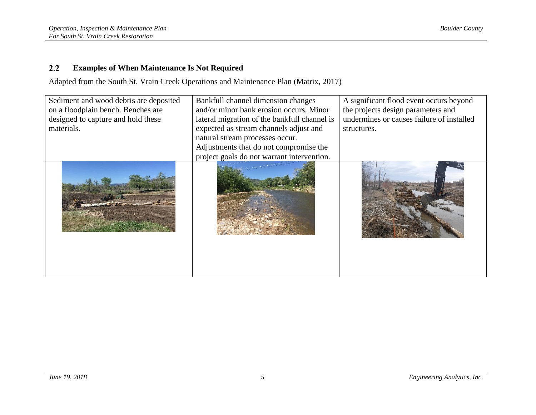#### $2.2$ **Examples of When Maintenance Is Not Required**

Adapted from the South St. Vrain Creek Operations and Maintenance Plan (Matrix, 2017)

<span id="page-7-0"></span>

| Sediment and wood debris are deposited<br>on a floodplain bench. Benches are<br>designed to capture and hold these<br>materials. | Bankfull channel dimension changes<br>and/or minor bank erosion occurs. Minor<br>lateral migration of the bankfull channel is<br>expected as stream channels adjust and<br>natural stream processes occur.<br>Adjustments that do not compromise the<br>project goals do not warrant intervention. | A significant flood event occurs beyond<br>the projects design parameters and<br>undermines or causes failure of installed<br>structures. |
|----------------------------------------------------------------------------------------------------------------------------------|----------------------------------------------------------------------------------------------------------------------------------------------------------------------------------------------------------------------------------------------------------------------------------------------------|-------------------------------------------------------------------------------------------------------------------------------------------|
|                                                                                                                                  |                                                                                                                                                                                                                                                                                                    |                                                                                                                                           |